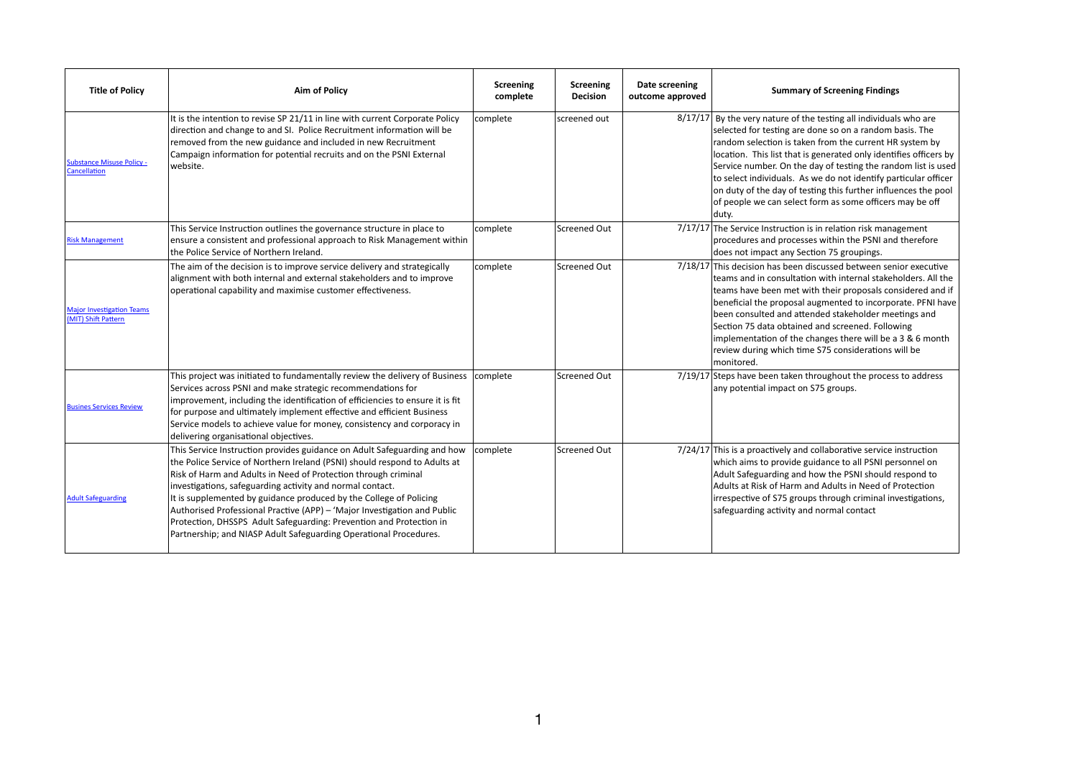| <b>Title of Policy</b>                                  | <b>Aim of Policy</b>                                                                                                                                                                                                                                                                                                                                                                                                                                                                                                                                                               | <b>Screening</b><br>complete | <b>Screening</b><br><b>Decision</b> | Date screening<br>outcome approved | <b>Summary of Screening Findings</b>                                                                                                                                                                                                                                                                                                                                                                                                                                                                                                    |
|---------------------------------------------------------|------------------------------------------------------------------------------------------------------------------------------------------------------------------------------------------------------------------------------------------------------------------------------------------------------------------------------------------------------------------------------------------------------------------------------------------------------------------------------------------------------------------------------------------------------------------------------------|------------------------------|-------------------------------------|------------------------------------|-----------------------------------------------------------------------------------------------------------------------------------------------------------------------------------------------------------------------------------------------------------------------------------------------------------------------------------------------------------------------------------------------------------------------------------------------------------------------------------------------------------------------------------------|
| <b>Substance Misuse Policy -</b><br>Cancellation        | It is the intention to revise SP 21/11 in line with current Corporate Policy<br>direction and change to and SI. Police Recruitment information will be<br>removed from the new guidance and included in new Recruitment<br>Campaign information for potential recruits and on the PSNI External<br>website.                                                                                                                                                                                                                                                                        | complete                     | screened out                        |                                    | 8/17/17 By the very nature of the testing all individuals who are<br>selected for testing are done so on a random basis. The<br>random selection is taken from the current HR system by<br>location. This list that is generated only identifies officers by<br>Service number. On the day of testing the random list is used<br>to select individuals. As we do not identify particular officer<br>on duty of the day of testing this further influences the pool<br>of people we can select form as some officers may be off<br>duty. |
| <b>Risk Management</b>                                  | This Service Instruction outlines the governance structure in place to<br>ensure a consistent and professional approach to Risk Management within<br>the Police Service of Northern Ireland.                                                                                                                                                                                                                                                                                                                                                                                       | complete                     | Screened Out                        |                                    | 7/17/17 The Service Instruction is in relation risk management<br>procedures and processes within the PSNI and therefore<br>does not impact any Section 75 groupings.                                                                                                                                                                                                                                                                                                                                                                   |
| <b>Major Investigation Teams</b><br>(MIT) Shift Pattern | The aim of the decision is to improve service delivery and strategically<br>alignment with both internal and external stakeholders and to improve<br>operational capability and maximise customer effectiveness.                                                                                                                                                                                                                                                                                                                                                                   | complete                     | Screened Out                        |                                    | 7/18/17 This decision has been discussed between senior executive<br>teams and in consultation with internal stakeholders. All the<br>teams have been met with their proposals considered and if<br>beneficial the proposal augmented to incorporate. PFNI have<br>been consulted and attended stakeholder meetings and<br>Section 75 data obtained and screened. Following<br>implementation of the changes there will be a 3 & 6 month<br>review during which time S75 considerations will be<br>monitored.                           |
| <b>Busines Services Review</b>                          | This project was initiated to fundamentally review the delivery of Business<br>Services across PSNI and make strategic recommendations for<br>improvement, including the identification of efficiencies to ensure it is fit<br>for purpose and ultimately implement effective and efficient Business<br>Service models to achieve value for money, consistency and corporacy in<br>delivering organisational objectives.                                                                                                                                                           | complete                     | Screened Out                        |                                    | 7/19/17 Steps have been taken throughout the process to address<br>any potential impact on S75 groups.                                                                                                                                                                                                                                                                                                                                                                                                                                  |
| <b>Adult Safeguarding</b>                               | This Service Instruction provides guidance on Adult Safeguarding and how<br>the Police Service of Northern Ireland (PSNI) should respond to Adults at<br>Risk of Harm and Adults in Need of Protection through criminal<br>investigations, safeguarding activity and normal contact.<br>It is supplemented by guidance produced by the College of Policing<br>Authorised Professional Practive (APP) – 'Major Investigation and Public<br>Protection, DHSSPS Adult Safeguarding: Prevention and Protection in<br>Partnership; and NIASP Adult Safeguarding Operational Procedures. | complete                     | Screened Out                        |                                    | 7/24/17 This is a proactively and collaborative service instruction<br>which aims to provide guidance to all PSNI personnel on<br>Adult Safeguarding and how the PSNI should respond to<br>Adults at Risk of Harm and Adults in Need of Protection<br>irrespective of S75 groups through criminal investigations,<br>safeguarding activity and normal contact                                                                                                                                                                           |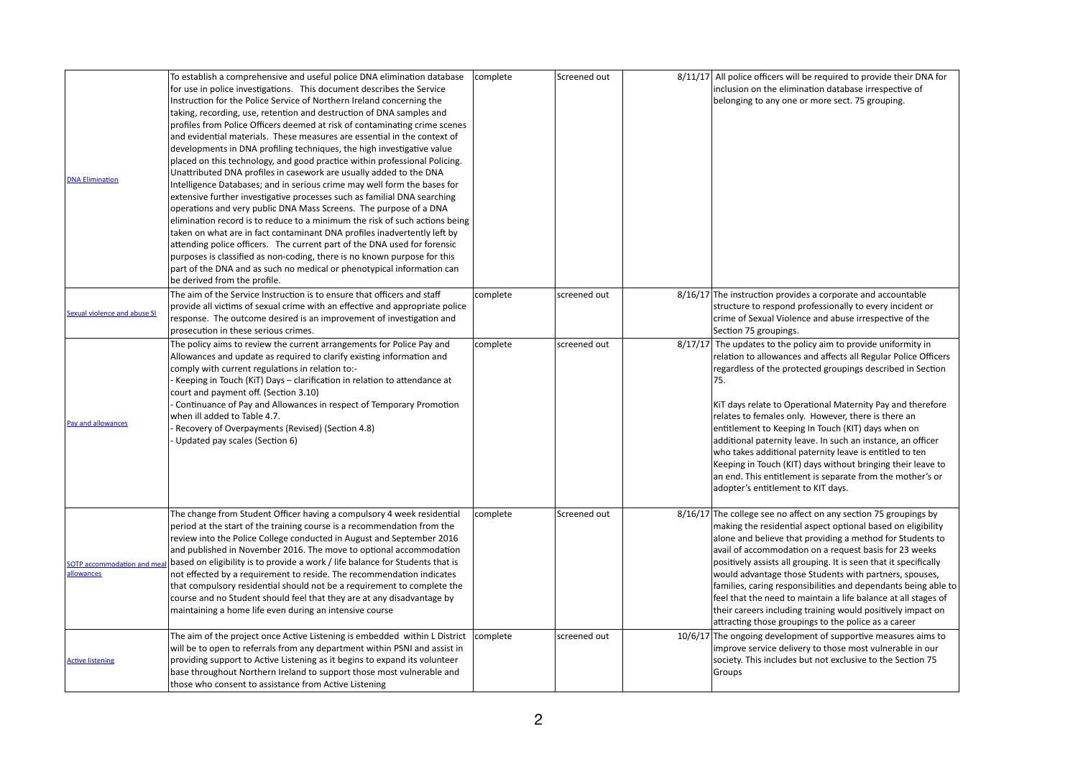| <b>DNA Elimination</b>                           | To establish a comprehensive and useful police DNA elimination database<br>for use in police investigations. This document describes the Service<br>Instruction for the Police Service of Northern Ireland concerning the<br>taking, recording, use, retention and destruction of DNA samples and<br>profiles from Police Officers deemed at risk of contaminating crime scenes<br>and evidential materials. These measures are essential in the context of<br>developments in DNA profiling techniques, the high investigative value<br>placed on this technology, and good practice within professional Policing.<br>Unattributed DNA profiles in casework are usually added to the DNA<br>Intelligence Databases; and in serious crime may well form the bases for<br>extensive further investigative processes such as familial DNA searching<br>operations and very public DNA Mass Screens. The purpose of a DNA<br>elimination record is to reduce to a minimum the risk of such actions being<br>taken on what are in fact contaminant DNA profiles inadvertently left by<br>attending police officers. The current part of the DNA used for forensic<br>purposes is classified as non-coding, there is no known purpose for this<br>part of the DNA and as such no medical or phenotypical information can<br>be derived from the profile. | complete | Screened out |
|--------------------------------------------------|-----------------------------------------------------------------------------------------------------------------------------------------------------------------------------------------------------------------------------------------------------------------------------------------------------------------------------------------------------------------------------------------------------------------------------------------------------------------------------------------------------------------------------------------------------------------------------------------------------------------------------------------------------------------------------------------------------------------------------------------------------------------------------------------------------------------------------------------------------------------------------------------------------------------------------------------------------------------------------------------------------------------------------------------------------------------------------------------------------------------------------------------------------------------------------------------------------------------------------------------------------------------------------------------------------------------------------------------------------|----------|--------------|
| Sexual violence and abuse SI                     | The aim of the Service Instruction is to ensure that officers and staff<br>provide all victims of sexual crime with an effective and appropriate police<br>response. The outcome desired is an improvement of investigation and<br>prosecution in these serious crimes.                                                                                                                                                                                                                                                                                                                                                                                                                                                                                                                                                                                                                                                                                                                                                                                                                                                                                                                                                                                                                                                                             | complete | screened out |
| Pay and allowances                               | The policy aims to review the current arrangements for Police Pay and<br>Allowances and update as required to clarify existing information and<br>comply with current regulations in relation to:-<br>- Keeping in Touch (KiT) Days – clarification in relation to attendance at<br>court and payment off. (Section 3.10)<br>Continuance of Pay and Allowances in respect of Temporary Promotion<br>when ill added to Table 4.7.<br>Recovery of Overpayments (Revised) (Section 4.8)<br>Updated pay scales (Section 6)                                                                                                                                                                                                                                                                                                                                                                                                                                                                                                                                                                                                                                                                                                                                                                                                                              | complete | screened out |
| <b>SOTP</b> accommodation and meal<br>allowances | The change from Student Officer having a compulsory 4 week residential<br>period at the start of the training course is a recommendation from the<br>review into the Police College conducted in August and September 2016<br>and published in November 2016. The move to optional accommodation<br>based on eligibility is to provide a work / life balance for Students that is<br>not effected by a requirement to reside. The recommendation indicates<br>that compulsory residential should not be a requirement to complete the<br>course and no Student should feel that they are at any disadvantage by<br>maintaining a home life even during an intensive course                                                                                                                                                                                                                                                                                                                                                                                                                                                                                                                                                                                                                                                                          | complete | Screened out |
| <b>Active listening</b>                          | The aim of the project once Active Listening is embedded within L District<br>will be to open to referrals from any department within PSNI and assist in<br>providing support to Active Listening as it begins to expand its volunteer<br>base throughout Northern Ireland to support those most vulnerable and<br>those who consent to assistance from Active Listening                                                                                                                                                                                                                                                                                                                                                                                                                                                                                                                                                                                                                                                                                                                                                                                                                                                                                                                                                                            | complete | screened out |

| complete | Screened out | 8/11/17 All police officers will be required to provide their DNA for<br>inclusion on the elimination database irrespective of<br>belonging to any one or more sect. 75 grouping.                                                                                                                                                                                                                                                                                                                                                                                                                                                                                            |
|----------|--------------|------------------------------------------------------------------------------------------------------------------------------------------------------------------------------------------------------------------------------------------------------------------------------------------------------------------------------------------------------------------------------------------------------------------------------------------------------------------------------------------------------------------------------------------------------------------------------------------------------------------------------------------------------------------------------|
| complete | screened out | 8/16/17 The instruction provides a corporate and accountable<br>structure to respond professionally to every incident or<br>crime of Sexual Violence and abuse irrespective of the<br>Section 75 groupings.                                                                                                                                                                                                                                                                                                                                                                                                                                                                  |
| complete | screened out | 8/17/17 The updates to the policy aim to provide uniformity in<br>relation to allowances and affects all Regular Police Officers<br>regardless of the protected groupings described in Section<br>75.<br>KiT days relate to Operational Maternity Pay and therefore<br>relates to females only. However, there is there an<br>entitlement to Keeping In Touch (KIT) days when on<br>additional paternity leave. In such an instance, an officer<br>who takes additional paternity leave is entitled to ten<br>Keeping in Touch (KIT) days without bringing their leave to<br>an end. This entitlement is separate from the mother's or<br>adopter's entitlement to KIT days. |
| complete | Screened out | 8/16/17 The college see no affect on any section 75 groupings by<br>making the residential aspect optional based on eligibility<br>alone and believe that providing a method for Students to<br>avail of accommodation on a request basis for 23 weeks<br>positively assists all grouping. It is seen that it specifically<br>would advantage those Students with partners, spouses,<br>families, caring responsibilities and dependants being able to<br>feel that the need to maintain a life balance at all stages of<br>their careers including training would positively impact on<br>attracting those groupings to the police as a career                              |
| complete | screened out | 10/6/17 The ongoing development of supportive measures aims to<br>improve service delivery to those most vulnerable in our<br>society. This includes but not exclusive to the Section 75<br>Groups                                                                                                                                                                                                                                                                                                                                                                                                                                                                           |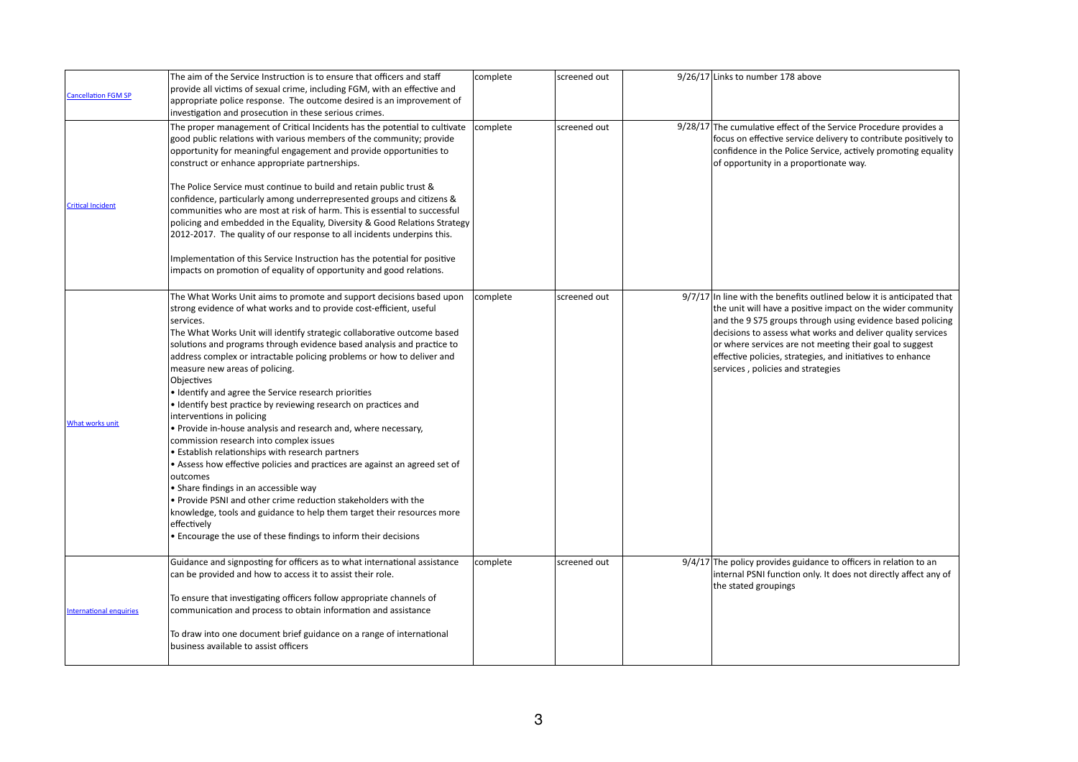| <b>Cancellation FGM SP</b>     | The aim of the Service Instruction is to ensure that officers and staff<br>provide all victims of sexual crime, including FGM, with an effective and<br>appropriate police response. The outcome desired is an improvement of<br>investigation and prosecution in these serious crimes.                                                                                                                                                                                                                                                                                                                                                                                                                                                                                                                                                                                                                                                                                                                                                                                                                                                                  | complete | screened out |
|--------------------------------|----------------------------------------------------------------------------------------------------------------------------------------------------------------------------------------------------------------------------------------------------------------------------------------------------------------------------------------------------------------------------------------------------------------------------------------------------------------------------------------------------------------------------------------------------------------------------------------------------------------------------------------------------------------------------------------------------------------------------------------------------------------------------------------------------------------------------------------------------------------------------------------------------------------------------------------------------------------------------------------------------------------------------------------------------------------------------------------------------------------------------------------------------------|----------|--------------|
|                                | The proper management of Critical Incidents has the potential to cultivate<br>good public relations with various members of the community; provide<br>opportunity for meaningful engagement and provide opportunities to<br>construct or enhance appropriate partnerships.                                                                                                                                                                                                                                                                                                                                                                                                                                                                                                                                                                                                                                                                                                                                                                                                                                                                               | complete | screened out |
| <b>Critical Incident</b>       | The Police Service must continue to build and retain public trust &<br>confidence, particularly among underrepresented groups and citizens &<br>communities who are most at risk of harm. This is essential to successful<br>policing and embedded in the Equality, Diversity & Good Relations Strategy<br>2012-2017. The quality of our response to all incidents underpins this.                                                                                                                                                                                                                                                                                                                                                                                                                                                                                                                                                                                                                                                                                                                                                                       |          |              |
|                                | Implementation of this Service Instruction has the potential for positive<br>impacts on promotion of equality of opportunity and good relations.                                                                                                                                                                                                                                                                                                                                                                                                                                                                                                                                                                                                                                                                                                                                                                                                                                                                                                                                                                                                         |          |              |
| <b>What works unit</b>         | The What Works Unit aims to promote and support decisions based upon<br>strong evidence of what works and to provide cost-efficient, useful<br>services.<br>The What Works Unit will identify strategic collaborative outcome based<br>solutions and programs through evidence based analysis and practice to<br>address complex or intractable policing problems or how to deliver and<br>measure new areas of policing.<br><b>Obiectives</b><br>• Identify and agree the Service research priorities<br>· Identify best practice by reviewing research on practices and<br>interventions in policing<br>• Provide in-house analysis and research and, where necessary,<br>commission research into complex issues<br>• Establish relationships with research partners<br>• Assess how effective policies and practices are against an agreed set of<br><b>loutcomes</b><br>$\bullet$ Share findings in an accessible way<br>• Provide PSNI and other crime reduction stakeholders with the<br>knowledge, tools and guidance to help them target their resources more<br>effectively<br>• Encourage the use of these findings to inform their decisions | complete | screened out |
|                                | Guidance and signposting for officers as to what international assistance<br>can be provided and how to access it to assist their role.<br>To ensure that investigating officers follow appropriate channels of                                                                                                                                                                                                                                                                                                                                                                                                                                                                                                                                                                                                                                                                                                                                                                                                                                                                                                                                          | complete | screened out |
| <b>International enquiries</b> | communication and process to obtain information and assistance<br>To draw into one document brief guidance on a range of international<br>business available to assist officers                                                                                                                                                                                                                                                                                                                                                                                                                                                                                                                                                                                                                                                                                                                                                                                                                                                                                                                                                                          |          |              |

| complete | screened out | $9/26/17$ Links to number 178 above                                                                                                                                                                                                                                                                                                                                                                                                |
|----------|--------------|------------------------------------------------------------------------------------------------------------------------------------------------------------------------------------------------------------------------------------------------------------------------------------------------------------------------------------------------------------------------------------------------------------------------------------|
| complete | screened out | 9/28/17 The cumulative effect of the Service Procedure provides a<br>focus on effective service delivery to contribute positively to<br>confidence in the Police Service, actively promoting equality<br>of opportunity in a proportionate way.                                                                                                                                                                                    |
| complete | screened out | $9/7/17$ In line with the benefits outlined below it is anticipated that<br>the unit will have a positive impact on the wider community<br>and the 9 S75 groups through using evidence based policing<br>decisions to assess what works and deliver quality services<br>or where services are not meeting their goal to suggest<br>effective policies, strategies, and initiatives to enhance<br>services, policies and strategies |
| complete | screened out | $9/4/17$ The policy provides guidance to officers in relation to an<br>internal PSNI function only. It does not directly affect any of<br>the stated groupings                                                                                                                                                                                                                                                                     |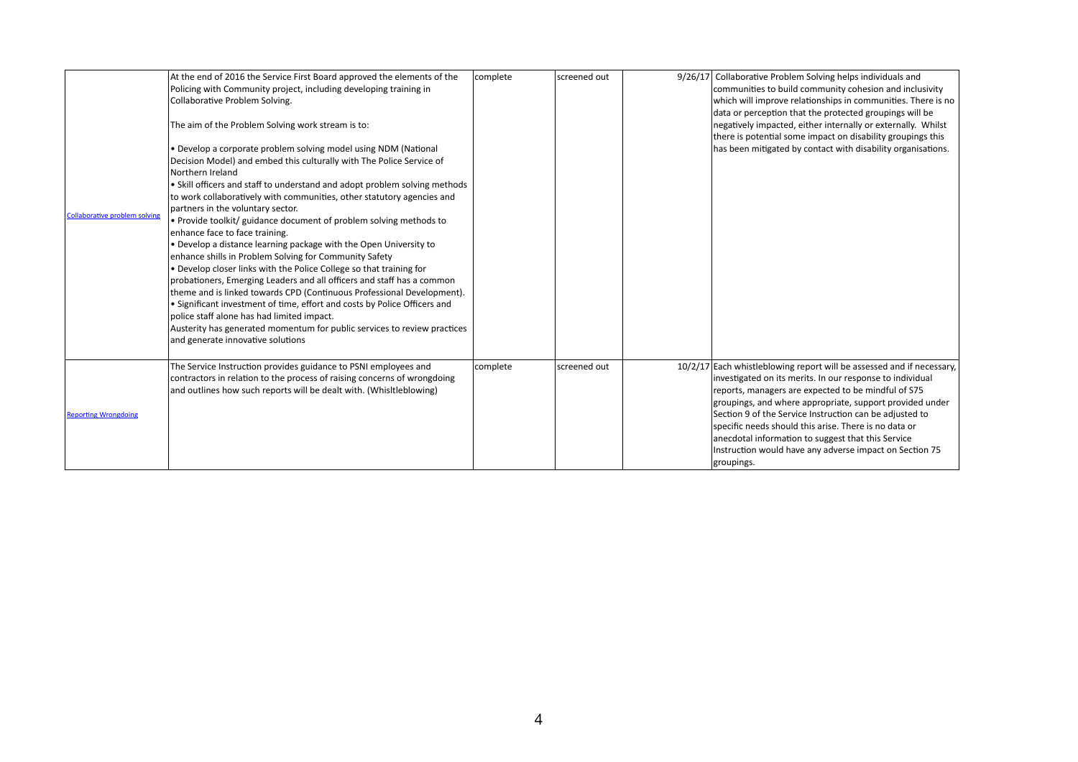|                                      | At the end of 2016 the Service First Board approved the elements of the<br>Policing with Community project, including developing training in<br><b>Collaborative Problem Solving.</b>                                                                                                                                                                                                                                                                                                                                                                                                                                                                                                                                                                                                                                                                                                                                                                                                                                                                                  | complete | screened out |
|--------------------------------------|------------------------------------------------------------------------------------------------------------------------------------------------------------------------------------------------------------------------------------------------------------------------------------------------------------------------------------------------------------------------------------------------------------------------------------------------------------------------------------------------------------------------------------------------------------------------------------------------------------------------------------------------------------------------------------------------------------------------------------------------------------------------------------------------------------------------------------------------------------------------------------------------------------------------------------------------------------------------------------------------------------------------------------------------------------------------|----------|--------------|
|                                      | The aim of the Problem Solving work stream is to:                                                                                                                                                                                                                                                                                                                                                                                                                                                                                                                                                                                                                                                                                                                                                                                                                                                                                                                                                                                                                      |          |              |
| <b>Collaborative problem solving</b> | • Develop a corporate problem solving model using NDM (National<br>Decision Model) and embed this culturally with The Police Service of<br>Northern Ireland<br>• Skill officers and staff to understand and adopt problem solving methods<br>to work collaboratively with communities, other statutory agencies and<br>partners in the voluntary sector.<br>• Provide toolkit/ guidance document of problem solving methods to<br>enhance face to face training.<br>• Develop a distance learning package with the Open University to<br>enhance shills in Problem Solving for Community Safety<br>. Develop closer links with the Police College so that training for<br>probationers, Emerging Leaders and all officers and staff has a common<br>theme and is linked towards CPD (Continuous Professional Development).<br>• Significant investment of time, effort and costs by Police Officers and<br>police staff alone has had limited impact.<br>Austerity has generated momentum for public services to review practices<br>and generate innovative solutions |          |              |
|                                      |                                                                                                                                                                                                                                                                                                                                                                                                                                                                                                                                                                                                                                                                                                                                                                                                                                                                                                                                                                                                                                                                        |          |              |
|                                      | The Service Instruction provides guidance to PSNI employees and<br>contractors in relation to the process of raising concerns of wrongdoing<br>and outlines how such reports will be dealt with. (Whisitleblowing)                                                                                                                                                                                                                                                                                                                                                                                                                                                                                                                                                                                                                                                                                                                                                                                                                                                     | complete | screened out |
| <b>Reporting Wrongdoing</b>          |                                                                                                                                                                                                                                                                                                                                                                                                                                                                                                                                                                                                                                                                                                                                                                                                                                                                                                                                                                                                                                                                        |          |              |

| complete | screened out | 9/26/17 | Collaborative Problem Solving helps individuals and<br>communities to build community cohesion and inclusivity<br>which will improve relationships in communities. There is no<br>data or perception that the protected groupings will be<br>negatively impacted, either internally or externally. Whilst<br>there is potential some impact on disability groupings this<br>has been mitigated by contact with disability organisations.                                                                 |
|----------|--------------|---------|----------------------------------------------------------------------------------------------------------------------------------------------------------------------------------------------------------------------------------------------------------------------------------------------------------------------------------------------------------------------------------------------------------------------------------------------------------------------------------------------------------|
| complete | screened out |         | 10/2/17 Each whistleblowing report will be assessed and if necessary,<br>investigated on its merits. In our response to individual<br>reports, managers are expected to be mindful of S75<br>groupings, and where appropriate, support provided under<br>Section 9 of the Service Instruction can be adjusted to<br>specific needs should this arise. There is no data or<br>anecdotal information to suggest that this Service<br>Instruction would have any adverse impact on Section 75<br>groupings. |